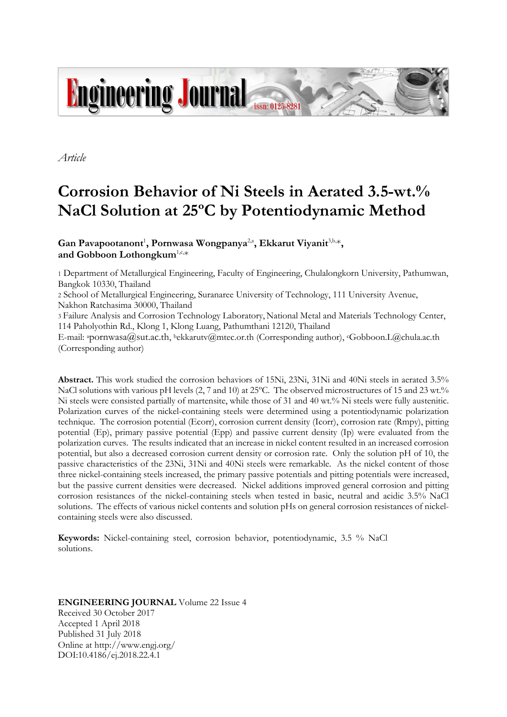

*Article*

# **Corrosion Behavior of Ni Steels in Aerated 3.5-wt.% NaCl Solution at 25ºC by Potentiodynamic Method**

Gan Pavapootanont<sup>1</sup>, Pornwasa Wongpanya<sup>2,a</sup>, Ekkarut Viyanit<sup>3,b,\*</sup>, **and Gobboon Lothongkum**1,c,\*

1 Department of Metallurgical Engineering, Faculty of Engineering, Chulalongkorn University, Pathumwan, Bangkok 10330, Thailand

2 School of Metallurgical Engineering, Suranaree University of Technology, 111 University Avenue, Nakhon Ratchasima 30000, Thailand

3 Failure Analysis and Corrosion Technology Laboratory, National Metal and Materials Technology Center, 114 Paholyothin Rd., Klong 1, Klong Luang, Pathumthani 12120, Thailand

E-mail: <sup>a</sup>pornwasa@sut.ac.th, bekkarutv@mtec.or.th (Corresponding author), <sup>c</sup>Gobboon.L@chula.ac.th (Corresponding author)

**Abstract.** This work studied the corrosion behaviors of 15Ni, 23Ni, 31Ni and 40Ni steels in aerated 3.5% NaCl solutions with various pH levels (2, 7 and 10) at 25°C. The observed microstructures of 15 and 23 wt.% Ni steels were consisted partially of martensite, while those of 31 and 40 wt.% Ni steels were fully austenitic. Polarization curves of the nickel-containing steels were determined using a potentiodynamic polarization technique. The corrosion potential (Ecorr), corrosion current density (Icorr), corrosion rate (Rmpy), pitting potential (Ep), primary passive potential (Epp) and passive current density (Ip) were evaluated from the polarization curves. The results indicated that an increase in nickel content resulted in an increased corrosion potential, but also a decreased corrosion current density or corrosion rate. Only the solution pH of 10, the passive characteristics of the 23Ni, 31Ni and 40Ni steels were remarkable. As the nickel content of those three nickel-containing steels increased, the primary passive potentials and pitting potentials were increased, but the passive current densities were decreased. Nickel additions improved general corrosion and pitting corrosion resistances of the nickel-containing steels when tested in basic, neutral and acidic 3.5% NaCl solutions. The effects of various nickel contents and solution pHs on general corrosion resistances of nickelcontaining steels were also discussed.

**Keywords:** Nickel-containing steel, corrosion behavior, potentiodynamic, 3.5 % NaCl solutions.

## **ENGINEERING JOURNAL** Volume 22 Issue 4 Received 30 October 2017 Accepted 1 April 2018 Published 31 July 2018 Online at http://www.engj.org/ DOI:10.4186/ej.2018.22.4.1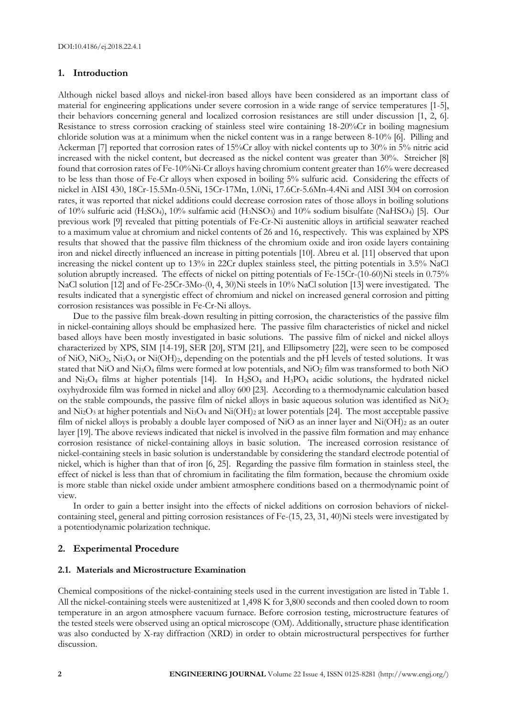### **1. Introduction**

Although nickel based alloys and nickel-iron based alloys have been considered as an important class of material for engineering applications under severe corrosion in a wide range of service temperatures [1-5], their behaviors concerning general and localized corrosion resistances are still under discussion [1, 2, 6]. Resistance to stress corrosion cracking of stainless steel wire containing 18-20%Cr in boiling magnesium chloride solution was at a minimum when the nickel content was in a range between 8-10% [6]. Pilling and Ackerman [7] reported that corrosion rates of 15%Cr alloy with nickel contents up to 30% in 5% nitric acid increased with the nickel content, but decreased as the nickel content was greater than 30%. Streicher [8] found that corrosion rates of Fe-10%Ni-Cr alloys having chromium content greater than 16% were decreased to be less than those of Fe-Cr alloys when exposed in boiling 5% sulfuric acid. Considering the effects of nickel in AISI 430, 18Cr-15.5Mn-0.5Ni, 15Cr-17Mn, 1.0Ni, 17.6Cr-5.6Mn-4.4Ni and AISI 304 on corrosion rates, it was reported that nickel additions could decrease corrosion rates of those alloys in boiling solutions of 10% sulfuric acid (H2SO4), 10% sulfamic acid (H3NSO3) and 10% sodium bisulfate (NaHSO4) [5]. Our previous work [9] revealed that pitting potentials of Fe-Cr-Ni austenitic alloys in artificial seawater reached to a maximum value at chromium and nickel contents of 26 and 16, respectively. This was explained by XPS results that showed that the passive film thickness of the chromium oxide and iron oxide layers containing iron and nickel directly influenced an increase in pitting potentials [10]. Abreu et al. [11] observed that upon increasing the nickel content up to 13% in 22Cr duplex stainless steel, the pitting potentials in 3.5% NaCl solution abruptly increased. The effects of nickel on pitting potentials of Fe-15Cr-(10-60)Ni steels in 0.75% NaCl solution [12] and of Fe-25Cr-3Mo-(0, 4, 30)Ni steels in 10% NaCl solution [13] were investigated. The results indicated that a synergistic effect of chromium and nickel on increased general corrosion and pitting corrosion resistances was possible in Fe-Cr-Ni alloys.

Due to the passive film break-down resulting in pitting corrosion, the characteristics of the passive film in nickel-containing alloys should be emphasized here. The passive film characteristics of nickel and nickel based alloys have been mostly investigated in basic solutions. The passive film of nickel and nickel alloys characterized by XPS, SIM [14-19], SER [20], STM [21], and Ellipsometry [22], were seen to be composed of NiO, NiO2, Ni3O<sup>4</sup> or Ni(OH)2, depending on the potentials and the pH levels of tested solutions. It was stated that NiO and Ni<sub>3</sub>O<sub>4</sub> films were formed at low potentials, and NiO<sub>2</sub> film was transformed to both NiO and Ni<sub>3</sub>O<sub>4</sub> films at higher potentials [14]. In H<sub>2</sub>SO<sub>4</sub> and H<sub>3</sub>PO<sub>4</sub> acidic solutions, the hydrated nickel oxyhydroxide film was formed in nickel and alloy 600 [23]. According to a thermodynamic calculation based on the stable compounds, the passive film of nickel alloys in basic aqueous solution was identified as  $NiO<sub>2</sub>$ and Ni<sub>2</sub>O<sub>3</sub> at higher potentials and Ni<sub>3</sub>O<sub>4</sub> and Ni(OH)<sub>2</sub> at lower potentials [24]. The most acceptable passive film of nickel alloys is probably a double layer composed of NiO as an inner layer and Ni(OH)<sub>2</sub> as an outer layer [19]. The above reviews indicated that nickel is involved in the passive film formation and may enhance corrosion resistance of nickel-containing alloys in basic solution. The increased corrosion resistance of nickel-containing steels in basic solution is understandable by considering the standard electrode potential of nickel, which is higher than that of iron [6, 25]. Regarding the passive film formation in stainless steel, the effect of nickel is less than that of chromium in facilitating the film formation, because the chromium oxide is more stable than nickel oxide under ambient atmosphere conditions based on a thermodynamic point of view.

In order to gain a better insight into the effects of nickel additions on corrosion behaviors of nickelcontaining steel, general and pitting corrosion resistances of Fe-(15, 23, 31, 40)Ni steels were investigated by a potentiodynamic polarization technique.

## **2. Experimental Procedure**

#### **2.1. Materials and Microstructure Examination**

Chemical compositions of the nickel-containing steels used in the current investigation are listed in Table 1. All the nickel-containing steels were austenitized at 1,498 K for 3,800 seconds and then cooled down to room temperature in an argon atmosphere vacuum furnace. Before corrosion testing, microstructure features of the tested steels were observed using an optical microscope (OM). Additionally, structure phase identification was also conducted by X-ray diffraction (XRD) in order to obtain microstructural perspectives for further discussion.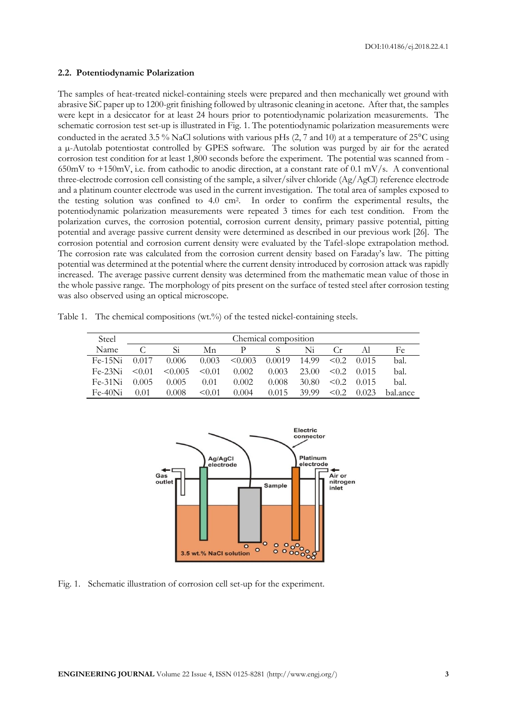#### **2.2. Potentiodynamic Polarization**

The samples of heat-treated nickel-containing steels were prepared and then mechanically wet ground with abrasive SiC paper up to 1200-grit finishing followed by ultrasonic cleaning in acetone. After that, the samples were kept in a desiccator for at least 24 hours prior to potentiodynamic polarization measurements. The schematic corrosion test set-up is illustrated in Fig. 1. The potentiodynamic polarization measurements were conducted in the aerated 3.5 % NaCl solutions with various pHs  $(2, 7 \text{ and } 10)$  at a temperature of 25 $^{\circ}$ C using a µ-Autolab potentiostat controlled by GPES software. The solution was purged by air for the aerated corrosion test condition for at least 1,800 seconds before the experiment. The potential was scanned from - 650mV to  $+150$ mV, i.e. from cathodic to anodic direction, at a constant rate of 0.1 mV/s. A conventional three-electrode corrosion cell consisting of the sample, a silver/silver chloride (Ag/AgCl) reference electrode and a platinum counter electrode was used in the current investigation. The total area of samples exposed to the testing solution was confined to 4.0 cm<sup>2</sup> . In order to confirm the experimental results, the potentiodynamic polarization measurements were repeated 3 times for each test condition. From the polarization curves, the corrosion potential, corrosion current density, primary passive potential, pitting potential and average passive current density were determined as described in our previous work [26]. The corrosion potential and corrosion current density were evaluated by the Tafel-slope extrapolation method. The corrosion rate was calculated from the corrosion current density based on Faraday's law. The pitting potential was determined at the potential where the current density introduced by corrosion attack was rapidly increased. The average passive current density was determined from the mathematic mean value of those in the whole passive range. The morphology of pits present on the surface of tested steel after corrosion testing was also observed using an optical microscope.

Table 1. The chemical compositions (wt.%) of the tested nickel-containing steels.

| Steel     | Chemical composition |              |        |         |        |       |            |       |          |
|-----------|----------------------|--------------|--------|---------|--------|-------|------------|-------|----------|
| Name      |                      | Si           | Мn     |         |        | Ni    | Cr.        |       | Fe       |
| $Fe-15Ni$ | 0.017                | 0.006        | 0.003  | < 0.003 | 0.0019 | 14.99 | $\leq 0.2$ | 0.015 | bal.     |
| $Fe-23Ni$ | $\leq 0.01$          | $\leq 0.005$ | < 0.01 | 0.002   | 0.003  | 23.00 | $\leq 0.2$ | 0.015 | bal.     |
| $Fe-31Ni$ | 0.005                | 0.005        | 0.01   | 0.002   | 0.008  | 30.80 | < 0.2      | 0.015 | bal.     |
| $Fe-40Ni$ | 0.01                 | 0.008        | < 0.01 | 0.004   | 0.015  | 39.99 | $\leq 0.2$ | 0.023 | hal.ance |



Fig. 1. Schematic illustration of corrosion cell set-up for the experiment.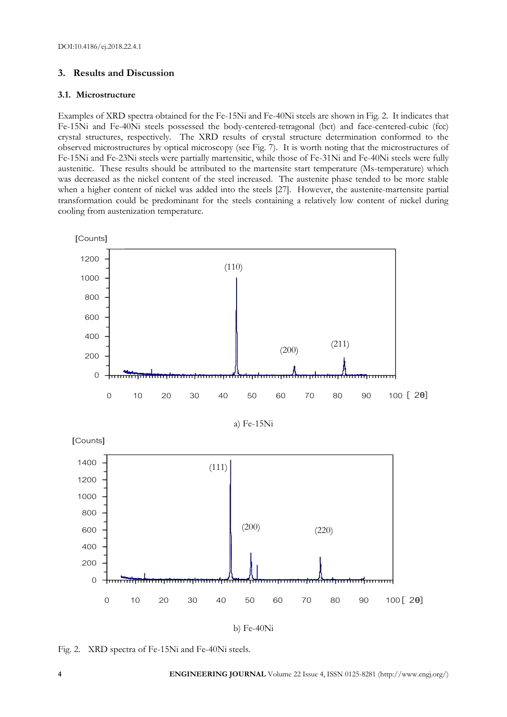# **3. Results and Discussion**

# **3.1. Microstructure**

Examples of XRD spectra obtained for the Fe-15Ni and Fe-40Ni steels are shown in Fig. 2. It indicates that Fe-15Ni and Fe-40Ni steels possessed the body-centered-tetragonal (bct) and face-centered-cubic (fcc) crystal structures, respectively. The XRD results of crystal structure determination conformed to the observed microstructures by optical microscopy (see Fig. 7). It is worth noting that the microstructures of Fe-15Ni and Fe-23Ni steels were partially martensitic, while those of Fe-31Ni and Fe-40Ni steels were fully austenitic. These results should be attributed to the martensite start temperature (Ms-temperature) which was decreased as the nickel content of the steel increased. The austenite phase tended to be more stable when a higher content of nickel was added into the steels [27]. However, the austenite-martensite partial transformation could be predominant for the steels containing a relatively low content of nickel during cooling from austenization temperature.



Fig. 2. XRD spectra of Fe-15Ni and Fe-40Ni steels.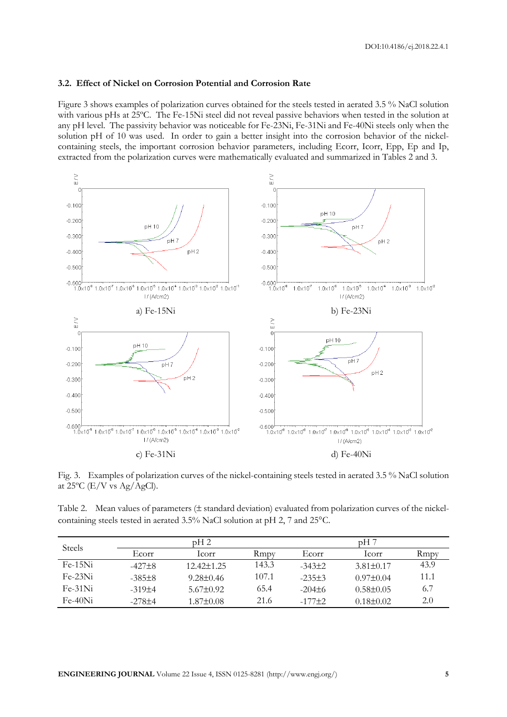#### **3.2. Effect of Nickel on Corrosion Potential and Corrosion Rate**

Figure 3 shows examples of polarization curves obtained for the steels tested in aerated 3.5 % NaCl solution with various pHs at 25ºC. The Fe-15Ni steel did not reveal passive behaviors when tested in the solution at any pH level. The passivity behavior was noticeable for Fe-23Ni, Fe-31Ni and Fe-40Ni steels only when the solution pH of 10 was used. In order to gain a better insight into the corrosion behavior of the nickelcontaining steels, the important corrosion behavior parameters, including Ecorr, Icorr, Epp, Ep and Ip, extracted from the polarization curves were mathematically evaluated and summarized in Tables 2 and 3.



Fig. 3. Examples of polarization curves of the nickel-containing steels tested in aerated 3.5 % NaCl solution at  $25^{\circ}$ C (E/V vs Ag/AgCl).

Table 2. Mean values of parameters ( $\pm$  standard deviation) evaluated from polarization curves of the nickelcontaining steels tested in aerated 3.5% NaCl solution at pH 2, 7 and 25°C.

| <b>Steels</b> |            | pH2              |       | pH 7        |                 |      |  |
|---------------|------------|------------------|-------|-------------|-----------------|------|--|
|               | Ecorr      | Icorr            | Rmpy  | Ecorr       | lcorr           | Rmpy |  |
| $Fe-15Ni$     | $-427\pm8$ | $12.42 \pm 1.25$ | 143.3 | $-343\pm2$  | $3.81 \pm 0.17$ | 43.9 |  |
| $Fe-23Ni$     | $-385\pm8$ | $9.28 \pm 0.46$  | 107.1 | $-235+3$    | $0.97 \pm 0.04$ | 11.1 |  |
| $Fe-31Ni$     | $-319+4$   | $5.67 \pm 0.92$  | 65.4  | $-204\pm 6$ | $0.58 \pm 0.05$ | 6.7  |  |
| $Fe-40Ni$     | $-278+4$   | $1.87 \pm 0.08$  | 21.6  | $-177 + 2$  | $0.18 \pm 0.02$ | 2.0  |  |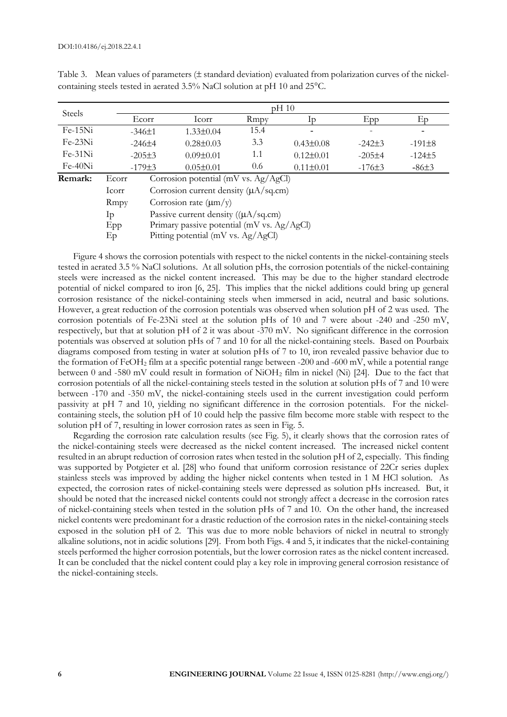|               | $pH_1$ 10                                        |                                                       |                 |      |                 |            |            |  |  |
|---------------|--------------------------------------------------|-------------------------------------------------------|-----------------|------|-----------------|------------|------------|--|--|
| <b>Steels</b> | Ecorr                                            |                                                       | Icorr           | Rmpy | In              | Epp        | Ep         |  |  |
| $Fe-15Ni$     |                                                  | $-346\pm1$                                            | $1.33 \pm 0.04$ | 15.4 |                 |            |            |  |  |
| $Fe-23Ni$     |                                                  | $-246\pm4$                                            | $0.28 \pm 0.03$ | 3.3  | $0.43 \pm 0.08$ | $-242\pm3$ | $-191\pm8$ |  |  |
| $Fe-31Ni$     |                                                  | $-205\pm3$                                            | $0.09 \pm 0.01$ | 1.1  | $0.12 \pm 0.01$ | $-205\pm4$ | $-124±5$   |  |  |
| $Fe-40Ni$     |                                                  | $-179±3$                                              | $0.05 \pm 0.01$ | 0.6  | $0.11 \pm 0.01$ | $-176\pm3$ | $-86±3$    |  |  |
| Remark:       | Corrosion potential (mV vs. $Ag/AgCl$ )<br>Ecorr |                                                       |                 |      |                 |            |            |  |  |
|               | Icorr                                            | Corrosion current density $(\mu A / sq.cm)$           |                 |      |                 |            |            |  |  |
|               | Rmpy                                             | Corrosion rate $(\mu m/\nu)$                          |                 |      |                 |            |            |  |  |
|               | Ip                                               | Passive current density $((\mu A/sq.cm))$<br>$\cdots$ |                 |      |                 |            |            |  |  |

Table 3. Mean values of parameters ( $\pm$  standard deviation) evaluated from polarization curves of the nickelcontaining steels tested in aerated 3.5% NaCl solution at pH 10 and 25°C.

Epp Primary passive potential (mV vs. Ag/AgCl) Ep Pitting potential (mV vs. Ag/AgCl) Figure 4 shows the corrosion potentials with respect to the nickel contents in the nickel-containing steels

tested in aerated 3.5 % NaCl solutions. At all solution pHs, the corrosion potentials of the nickel-containing steels were increased as the nickel content increased. This may be due to the higher standard electrode potential of nickel compared to iron [6, 25]. This implies that the nickel additions could bring up general corrosion resistance of the nickel-containing steels when immersed in acid, neutral and basic solutions. However, a great reduction of the corrosion potentials was observed when solution pH of 2 was used. The corrosion potentials of Fe-23Ni steel at the solution pHs of 10 and 7 were about -240 and -250 mV, respectively, but that at solution pH of 2 it was about -370 mV. No significant difference in the corrosion potentials was observed at solution pHs of 7 and 10 for all the nickel-containing steels. Based on Pourbaix diagrams composed from testing in water at solution pHs of 7 to 10, iron revealed passive behavior due to the formation of FeOH<sup>2</sup> film at a specific potential range between -200 and -600 mV, while a potential range between 0 and -580 mV could result in formation of  $NiOH<sub>2</sub>$  film in nickel (Ni) [24]. Due to the fact that corrosion potentials of all the nickel-containing steels tested in the solution at solution pHs of 7 and 10 were between -170 and -350 mV, the nickel-containing steels used in the current investigation could perform passivity at pH 7 and 10, yielding no significant difference in the corrosion potentials. For the nickelcontaining steels, the solution pH of 10 could help the passive film become more stable with respect to the solution pH of 7, resulting in lower corrosion rates as seen in Fig. 5.

Regarding the corrosion rate calculation results (see Fig. 5), it clearly shows that the corrosion rates of the nickel-containing steels were decreased as the nickel content increased. The increased nickel content resulted in an abrupt reduction of corrosion rates when tested in the solution pH of 2, especially. This finding was supported by Potgieter et al. [28] who found that uniform corrosion resistance of 22Cr series duplex stainless steels was improved by adding the higher nickel contents when tested in 1 M HCl solution. As expected, the corrosion rates of nickel-containing steels were depressed as solution pHs increased. But, it should be noted that the increased nickel contents could not strongly affect a decrease in the corrosion rates of nickel-containing steels when tested in the solution pHs of 7 and 10. On the other hand, the increased nickel contents were predominant for a drastic reduction of the corrosion rates in the nickel-containing steels exposed in the solution pH of 2. This was due to more noble behaviors of nickel in neutral to strongly alkaline solutions, not in acidic solutions [29]. From both Figs. 4 and 5, it indicates that the nickel-containing steels performed the higher corrosion potentials, but the lower corrosion rates as the nickel content increased. It can be concluded that the nickel content could play a key role in improving general corrosion resistance of the nickel-containing steels.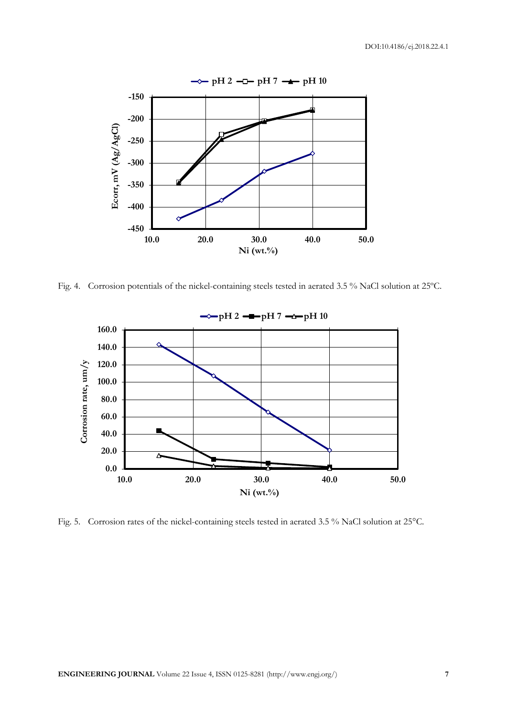

Fig. 4. Corrosion potentials of the nickel-containing steels tested in aerated 3.5 % NaCl solution at 25ºC.



Fig. 5. Corrosion rates of the nickel-containing steels tested in aerated 3.5 % NaCl solution at 25°C.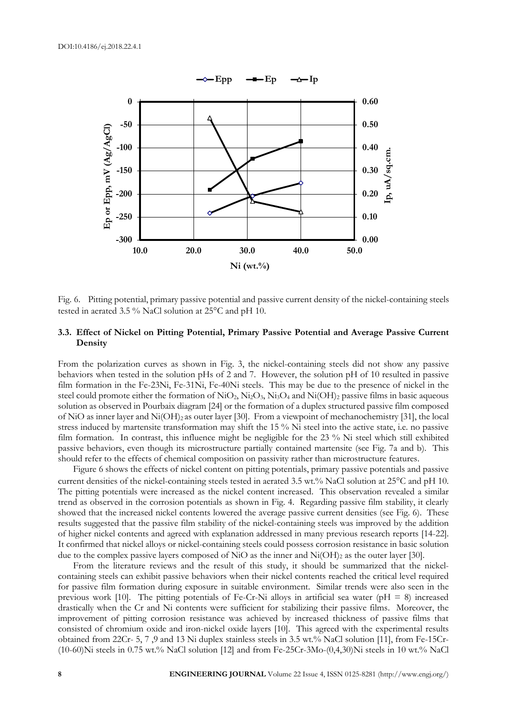

Fig. 6. Pitting potential, primary passive potential and passive current density of the nickel-containing steels tested in aerated 3.5 % NaCl solution at  $25^{\circ}$ C and pH 10.

## **3.3. Effect of Nickel on Pitting Potential, Primary Passive Potential and Average Passive Current Density**

From the polarization curves as shown in Fig. 3, the nickel-containing steels did not show any passive behaviors when tested in the solution pHs of 2 and 7. However, the solution pH of 10 resulted in passive film formation in the Fe-23Ni, Fe-31Ni, Fe-40Ni steels. This may be due to the presence of nickel in the steel could promote either the formation of NiO<sub>2</sub>, Ni<sub>2</sub>O<sub>3</sub>, Ni<sub>3</sub>O<sub>4</sub> and Ni(OH)<sub>2</sub> passive films in basic aqueous solution as observed in Pourbaix diagram [24] or the formation of a duplex structured passive film composed of NiO as inner layer and Ni(OH)2 as outer layer [30]. From a viewpoint of mechanochemistry [31], the local stress induced by martensite transformation may shift the 15 % Ni steel into the active state, i.e. no passive film formation. In contrast, this influence might be negligible for the 23 % Ni steel which still exhibited passive behaviors, even though its microstructure partially contained martensite (see Fig. 7a and b). This should refer to the effects of chemical composition on passivity rather than microstructure features.

Figure 6 shows the effects of nickel content on pitting potentials, primary passive potentials and passive current densities of the nickel-containing steels tested in aerated 3.5 wt.% NaCl solution at 25°C and pH 10. The pitting potentials were increased as the nickel content increased. This observation revealed a similar trend as observed in the corrosion potentials as shown in Fig. 4. Regarding passive film stability, it clearly showed that the increased nickel contents lowered the average passive current densities (see Fig. 6). These results suggested that the passive film stability of the nickel-containing steels was improved by the addition of higher nickel contents and agreed with explanation addressed in many previous research reports [14-22]. It confirmed that nickel alloys or nickel-containing steels could possess corrosion resistance in basic solution due to the complex passive layers composed of NiO as the inner and Ni(OH)<sub>2</sub> as the outer layer [30].

From the literature reviews and the result of this study, it should be summarized that the nickelcontaining steels can exhibit passive behaviors when their nickel contents reached the critical level required for passive film formation during exposure in suitable environment. Similar trends were also seen in the previous work [10]. The pitting potentials of Fe-Cr-Ni alloys in artificial sea water ( $pH = 8$ ) increased drastically when the Cr and Ni contents were sufficient for stabilizing their passive films. Moreover, the improvement of pitting corrosion resistance was achieved by increased thickness of passive films that consisted of chromium oxide and iron-nickel oxide layers [10]. This agreed with the experimental results obtained from 22Cr- 5, 7 ,9 and 13 Ni duplex stainless steels in 3.5 wt.% NaCl solution [11], from Fe-15Cr- (10-60)Ni steels in 0.75 wt.% NaCl solution [12] and from Fe-25Cr-3Mo-(0,4,30)Ni steels in 10 wt.% NaCl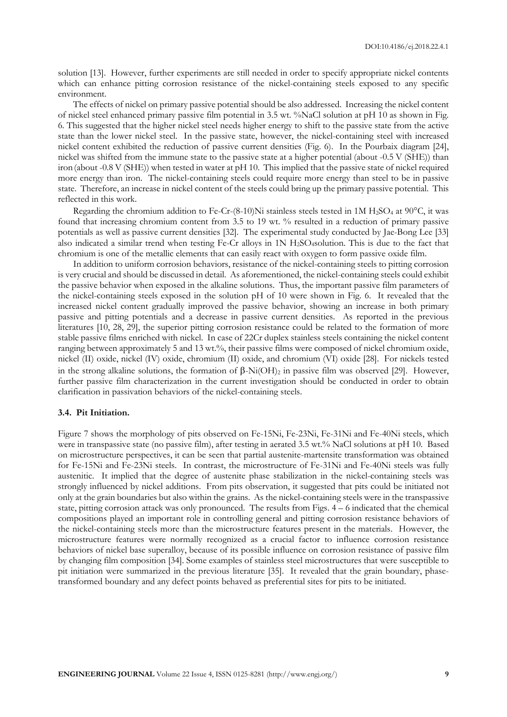solution [13]. However, further experiments are still needed in order to specify appropriate nickel contents which can enhance pitting corrosion resistance of the nickel-containing steels exposed to any specific environment.

The effects of nickel on primary passive potential should be also addressed. Increasing the nickel content of nickel steel enhanced primary passive film potential in 3.5 wt. %NaCl solution at pH 10 as shown in Fig. 6. This suggested that the higher nickel steel needs higher energy to shift to the passive state from the active state than the lower nickel steel. In the passive state, however, the nickel-containing steel with increased nickel content exhibited the reduction of passive current densities (Fig. 6). In the Pourbaix diagram [24], nickel was shifted from the immune state to the passive state at a higher potential (about -0.5 V (SHE)) than iron(about -0.8 V (SHE)) when tested in water at pH 10. This implied that the passive state of nickel required more energy than iron. The nickel-containing steels could require more energy than steel to be in passive state. Therefore, an increase in nickel content of the steels could bring up the primary passive potential. This reflected in this work.

Regarding the chromium addition to Fe-Cr-(8-10)Ni stainless steels tested in 1M H<sub>2</sub>SO<sub>4</sub> at 90 $^{\circ}$ C, it was found that increasing chromium content from 3.5 to 19 wt. % resulted in a reduction of primary passive potentials as well as passive current densities [32]. The experimental study conducted by Jae-Bong Lee [33] also indicated a similar trend when testing Fe-Cr alloys in 1N H2SO4solution. This is due to the fact that chromium is one of the metallic elements that can easily react with oxygen to form passive oxide film.

In addition to uniform corrosion behaviors, resistance of the nickel-containing steels to pitting corrosion is very crucial and should be discussed in detail. As aforementioned, the nickel-containing steels could exhibit the passive behavior when exposed in the alkaline solutions. Thus, the important passive film parameters of the nickel-containing steels exposed in the solution pH of 10 were shown in Fig. 6. It revealed that the increased nickel content gradually improved the passive behavior, showing an increase in both primary passive and pitting potentials and a decrease in passive current densities. As reported in the previous literatures [10, 28, 29], the superior pitting corrosion resistance could be related to the formation of more stable passive films enriched with nickel. In case of 22Cr duplex stainless steels containing the nickel content ranging between approximately 5 and 13 wt.%, their passive films were composed of nickel chromium oxide, nickel (II) oxide, nickel (IV) oxide, chromium (II) oxide, and chromium (VI) oxide [28]. For nickels tested in the strong alkaline solutions, the formation of  $\beta$ -Ni(OH)<sub>2</sub> in passive film was observed [29]. However, further passive film characterization in the current investigation should be conducted in order to obtain clarification in passivation behaviors of the nickel-containing steels.

#### **3.4. Pit Initiation.**

Figure 7 shows the morphology of pits observed on Fe-15Ni, Fe-23Ni, Fe-31Ni and Fe-40Ni steels, which were in transpassive state (no passive film), after testing in aerated 3.5 wt.% NaCl solutions at pH 10. Based on microstructure perspectives, it can be seen that partial austenite-martensite transformation was obtained for Fe-15Ni and Fe-23Ni steels. In contrast, the microstructure of Fe-31Ni and Fe-40Ni steels was fully austenitic. It implied that the degree of austenite phase stabilization in the nickel-containing steels was strongly influenced by nickel additions. From pits observation, it suggested that pits could be initiated not only at the grain boundaries but also within the grains. As the nickel-containing steels were in the transpassive state, pitting corrosion attack was only pronounced. The results from Figs. 4 – 6 indicated that the chemical compositions played an important role in controlling general and pitting corrosion resistance behaviors of the nickel-containing steels more than the microstructure features present in the materials. However, the microstructure features were normally recognized as a crucial factor to influence corrosion resistance behaviors of nickel base superalloy, because of its possible influence on corrosion resistance of passive film by changing film composition [34]. Some examples of stainless steel microstructures that were susceptible to pit initiation were summarized in the previous literature [35]. It revealed that the grain boundary, phasetransformed boundary and any defect points behaved as preferential sites for pits to be initiated.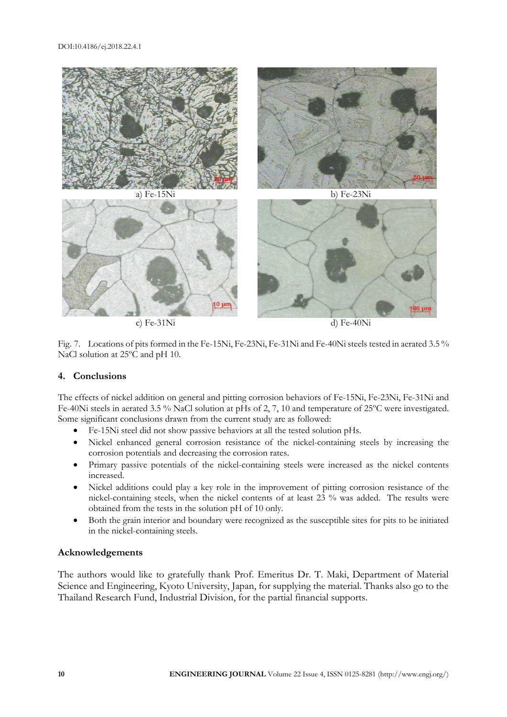

Fig. 7. Locations of pits formed in the Fe-15Ni, Fe-23Ni, Fe-31Ni and Fe-40Ni steels tested in aerated 3.5 % NaCl solution at 25ºC and pH 10.

# **4. Conclusions**

The effects of nickel addition on general and pitting corrosion behaviors of Fe-15Ni, Fe-23Ni, Fe-31Ni and Fe-40Ni steels in aerated 3.5 % NaCl solution at pHs of 2, 7, 10 and temperature of 25ºC were investigated. Some significant conclusions drawn from the current study are as followed:

- Fe-15Ni steel did not show passive behaviors at all the tested solution pHs.
- Nickel enhanced general corrosion resistance of the nickel-containing steels by increasing the corrosion potentials and decreasing the corrosion rates.
- Primary passive potentials of the nickel-containing steels were increased as the nickel contents increased.
- Nickel additions could play a key role in the improvement of pitting corrosion resistance of the nickel-containing steels, when the nickel contents of at least 23 % was added. The results were obtained from the tests in the solution pH of 10 only.
- Both the grain interior and boundary were recognized as the susceptible sites for pits to be initiated in the nickel-containing steels.

# **Acknowledgements**

The authors would like to gratefully thank Prof. Emeritus Dr. T. Maki, Department of Material Science and Engineering, Kyoto University, Japan, for supplying the material. Thanks also go to the Thailand Research Fund, Industrial Division, for the partial financial supports.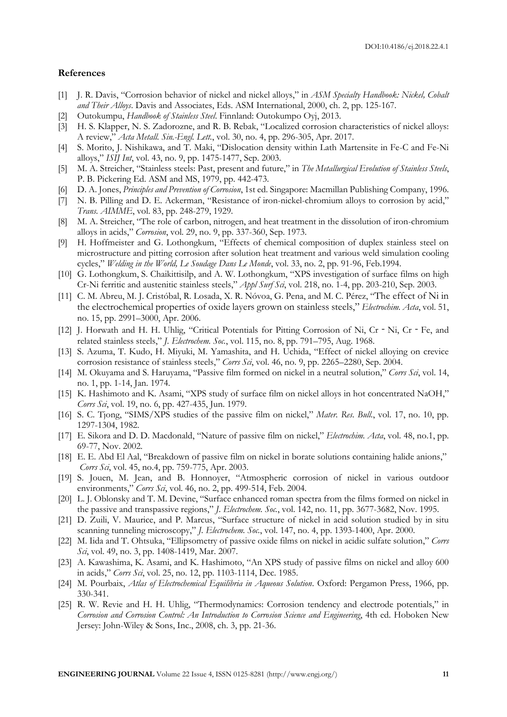#### **References**

- [1] J. R. Davis, "Corrosion behavior of nickel and nickel alloys," in *ASM Specialty Handbook: Nickel, Cobalt and Their Alloys*. Davis and Associates, Eds. ASM International, 2000, ch. 2, pp. 125-167.
- [2] Outokumpu, *Handbook of Stainless Steel*. Finnland: Outokumpo Oyj, 2013.
- [3] H. S. Klapper, N. S. Zadorozne, and R. B. Rebak, "Localized corrosion characteristics of nickel alloys: A review," *Acta Metall. Sin.-Engl. Lett.*, vol. 30, no. 4, pp. 296-305, Apr. 2017.
- [4] S. Morito, J. Nishikawa, and T. Maki, "Dislocation density within Lath Martensite in Fe-C and Fe-Ni alloys," *ISIJ Int*, vol. 43, no. 9, pp. 1475-1477, Sep. 2003.
- [5] M. A. Streicher, "Stainless steels: Past, present and future," in *The Metallurgical Evolution of Stainless Steels*, P. B. Pickering Ed. ASM and MS, 1979, pp. 442-473.
- [6] D. A. Jones, *Principles and Prevention of Corrosion*, 1st ed. Singapore: Macmillan Publishing Company, 1996.
- [7] N. B. Pilling and D. E. Ackerman, "Resistance of iron-nickel-chromium alloys to corrosion by acid," *Trans. AIMME*, vol. 83, pp. 248-279, 1929.
- [8] M. A. Streicher, "The role of carbon, nitrogen, and heat treatment in the dissolution of iron-chromium alloys in acids," *Corrosion*, vol. 29, no. 9, pp. 337-360, Sep. 1973.
- [9] H. Hoffmeister and G. Lothongkum, "Effects of chemical composition of duplex stainless steel on microstructure and pitting corrosion after solution heat treatment and various weld simulation cooling cycles," *Welding in the World, Le Soudage Dans Le Monde*, vol. 33, no. 2, pp. 91-96, Feb.1994.
- [10] G. Lothongkum, S. Chaikittisilp, and A. W. Lothongkum, "XPS investigation of surface films on high Cr-Ni ferritic and austenitic stainless steels," *Appl Surf Sci*, vol. 218, no. 1-4, pp. 203-210, Sep. 2003.
- [11] C. M. Abreu, M. J. Cristóbal, R. Losada, X. R. Nóvoa, G. Pena, and M. C. Pérez, "The effect of Ni in the electrochemical properties of oxide layers grown on stainless steels," *Electrochim. Acta*, vol. 51, no. 15, pp. 2991–3000, Apr. 2006.
- [12] J. Horwath and H. H. Uhlig, "Critical Potentials for Pitting Corrosion of Ni, Cr Ni, Cr Fe, and related stainless steels," *J. Electrochem. Soc.*, vol. 115, no. 8, pp. 791–795, Aug. 1968.
- [13] S. Azuma, T. Kudo, H. Miyuki, M. Yamashita, and H. Uchida, "Effect of nickel alloying on crevice corrosion resistance of stainless steels," *Corrs Sci*, vol. 46, no. 9, pp. 2265–2280, Sep. 2004.
- [14] M. Okuyama and S. Haruyama, "Passive film formed on nickel in a neutral solution," *Corrs Sci*, vol. 14, no. 1, pp. 1-14, Jan. 1974.
- [15] K. Hashimoto and K. Asami, "XPS study of surface film on nickel alloys in hot concentrated NaOH," *Corrs Sci*, vol. 19, no. 6, pp. 427-435, Jun. 1979.
- [16] S. C. Tjong, "SIMS/XPS studies of the passive film on nickel," *Mater. Res. Bull.*, vol. 17, no. 10, pp. 1297-1304, 1982.
- [17] E. Sikora and D. D. Macdonald, "Nature of passive film on nickel," *Electrochim. Acta*, vol. 48, no.1, pp. 69-77, Nov. 2002.
- [18] E. E. Abd El Aal, "Breakdown of passive film on nickel in borate solutions containing halide anions," *Corrs Sci*, vol. 45, no.4, pp. 759-775, Apr. 2003.
- [19] S. Jouen, M. Jean, and B. Honnoyer, "Atmospheric corrosion of nickel in various outdoor environments," *Corrs Sci*, vol. 46, no. 2, pp. 499-514, Feb. 2004.
- [20] L. J. Oblonsky and T. M. Devine, "Surface enhanced roman spectra from the films formed on nickel in the passive and transpassive regions," *J. Electrochem. Soc.*, vol. 142, no. 11, pp. 3677-3682, Nov. 1995.
- [21] D. Zuili, V. Maurice, and P. Marcus, "Surface structure of nickel in acid solution studied by in situ scanning tunneling microscopy," *J. Electrochem. Soc.*, vol. 147, no. 4, pp. 1393-1400, Apr. 2000.
- [22] M. Iida and T. Ohtsuka, "Ellipsometry of passive oxide films on nickel in acidic sulfate solution," *Corrs Sci*, vol. 49, no. 3, pp. 1408-1419, Mar. 2007.
- [23] A. Kawashima, K. Asami, and K. Hashimoto, "An XPS study of passive films on nickel and alloy 600 in acids," *Corrs Sci*, vol. 25, no. 12, pp. 1103-1114, Dec. 1985.
- [24] M. Pourbaix, *Atlas of Electrochemical Equilibria in Aqueous Solution*. Oxford: Pergamon Press, 1966, pp. 330-341.
- [25] R. W. Revie and H. H. Uhlig, "Thermodynamics: Corrosion tendency and electrode potentials," in *Corrosion and Corrosion Control: An Introduction to Corrosion Science and Engineering*, 4th ed. Hoboken New Jersey: John-Wiley & Sons, Inc., 2008, ch. 3, pp. 21-36.